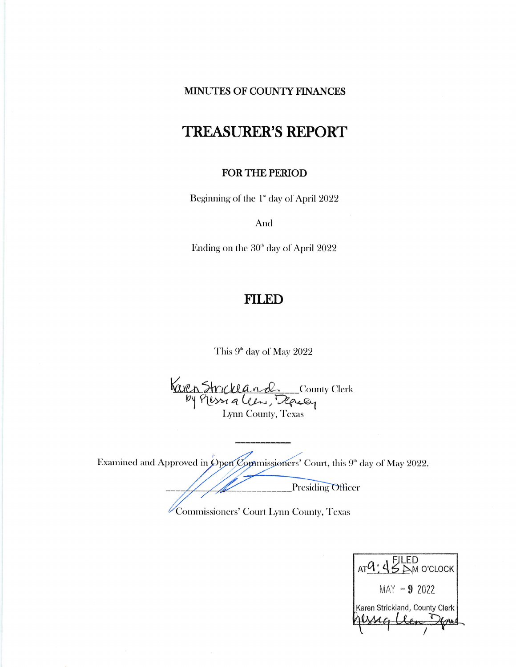## MINUTES OF COUNTY FINANCES

# **TREASURER'S REPORT**

## **FOR THE PERIOD**

Beginning of the 1<sup>\*</sup> day of April 2022

And

Ending on the  $30<sup>th</sup>$  day of April 2022

## **FILED**

This 9<sup>th</sup> day of May 2022

Karen Strickland County Clerk<br>by Plessing Clery, Ready

Examined and Approved in Open Commissioners' Court, this  $9^{\text{th}}$  day of May 2022.

Presiding Officer

Commissioners' Court Lynn County, Texas

 $ATQ$ :  $45MQ$  O'CLOCK  $MAY - 9$  2022 Karen Strickland, County Clerk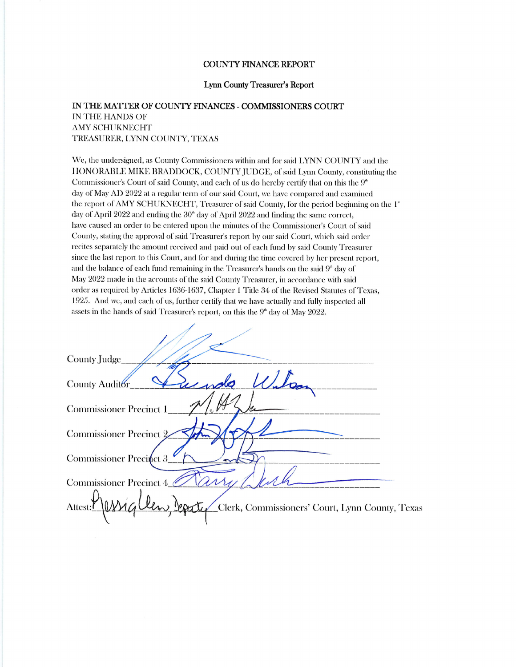#### **COUNTY FINANCE REPORT**

#### Lynn County Treasurer's Report

### IN THE MATTER OF COUNTY FINANCES - COMMISSIONERS COURT IN THE HANDS OF **AMY SCHUKNECHT** TREASURER, LYNN COUNTY, TEXAS

We, the undersigned, as County Commissioners within and for said LYNN COUNTY and the HONORABLE MIKE BRADDOCK, COUNTY JUDGE, of said Lynn County, constituting the Commissioner's Court of said County, and each of us do hereby certify that on this the 9<sup>th</sup> day of May AD 2022 at a regular term of our said Court, we have compared and examined the report of AMY SCHUKNECHT, Treasurer of said County, for the period beginning on the 1<sup>\*</sup> day of April 2022 and ending the 30<sup>th</sup> day of April 2022 and finding the same correct, have caused an order to be entered upon the minutes of the Commissioner's Court of said County, stating the approval of said Treasurer's report by our said Court, which said order recites separately the amount received and paid out of each fund by said County Treasurer since the last report to this Court, and for and during the time covered by her present report, and the balance of each fund remaining in the Treasurer's hands on the said  $9^{\circ}$  day of May 2022 made in the accounts of the said County Treasurer, in accordance with said order as required by Articles 1636-1637, Chapter 1 Title 34 of the Revised Statutes of Texas, 1925. And we, and each of us, further certify that we have actually and fully inspected all assets in the hands of said Treasurer's report, on this the  $9<sup>*</sup>$  day of May 2022.

| County Judge                                                            |
|-------------------------------------------------------------------------|
| undo<br>County Auditor                                                  |
| Commissioner Precinct 1                                                 |
| <b>Commissioner Precinct 2</b>                                          |
|                                                                         |
| Commissioner Precinct 3                                                 |
| <b>Commissioner Precinct 4</b>                                          |
| Attest: <sup>Y</sup><br>Clerk, Commissioners' Court, Lynn County, Texas |